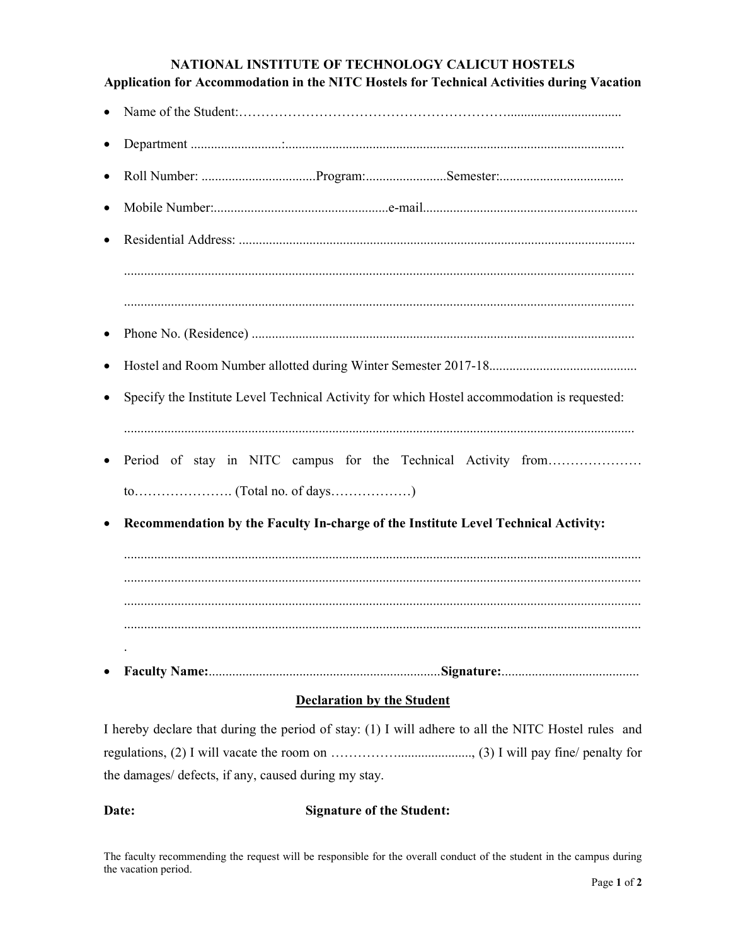## NATIONAL INSTITUTE OF TECHNOLOGY CALICUT HOSTELS Application for Accommodation in the NITC Hostels for Technical Activities during Vacation

- Name of the Student:……………………………………………………..................................
- Department ...........................:.....................................................................................................
- Roll Number: ..................................Program:........................Semester:.....................................
- Mobile Number:....................................................e-mail................................................................
- Residential Address: ...................................................................................................................... ........................................................................................................................................................
- ........................................................................................................................................................
- Phone No. (Residence) ..................................................................................................................
- Hostel and Room Number allotted during Winter Semester 2017-18............................................
- Specify the Institute Level Technical Activity for which Hostel accommodation is requested: ........................................................................................................................................................
- Period of stay in NITC campus for the Technical Activity from………………… to…………………. (Total no. of days………………)
- Recommendation by the Faculty In-charge of the Institute Level Technical Activity:

.......................................................................................................................................................... .......................................................................................................................................................... .......................................................................................................................................................... ..........................................................................................................................................................

Faculty Name:.....................................................................Signature:.........................................

## Declaration by the Student

I hereby declare that during the period of stay: (1) I will adhere to all the NITC Hostel rules and regulations, (2) I will vacate the room on ……………......................, (3) I will pay fine/ penalty for the damages/ defects, if any, caused during my stay.

## Date: Signature of the Student:

.

The faculty recommending the request will be responsible for the overall conduct of the student in the campus during the vacation period.